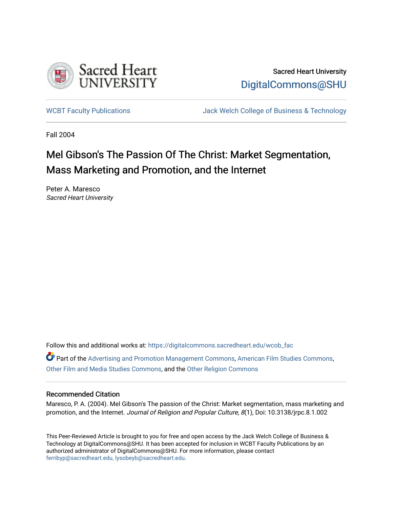

Sacred Heart University [DigitalCommons@SHU](https://digitalcommons.sacredheart.edu/) 

[WCBT Faculty Publications](https://digitalcommons.sacredheart.edu/wcob_fac) **MEGAL SERVINGS** Jack Welch College of Business & Technology

Fall 2004

## Mel Gibson's The Passion Of The Christ: Market Segmentation, Mass Marketing and Promotion, and the Internet

Peter A. Maresco Sacred Heart University

Follow this and additional works at: [https://digitalcommons.sacredheart.edu/wcob\\_fac](https://digitalcommons.sacredheart.edu/wcob_fac?utm_source=digitalcommons.sacredheart.edu%2Fwcob_fac%2F24&utm_medium=PDF&utm_campaign=PDFCoverPages)

Part of the [Advertising and Promotion Management Commons,](http://network.bepress.com/hgg/discipline/626?utm_source=digitalcommons.sacredheart.edu%2Fwcob_fac%2F24&utm_medium=PDF&utm_campaign=PDFCoverPages) [American Film Studies Commons,](http://network.bepress.com/hgg/discipline/440?utm_source=digitalcommons.sacredheart.edu%2Fwcob_fac%2F24&utm_medium=PDF&utm_campaign=PDFCoverPages) [Other Film and Media Studies Commons](http://network.bepress.com/hgg/discipline/565?utm_source=digitalcommons.sacredheart.edu%2Fwcob_fac%2F24&utm_medium=PDF&utm_campaign=PDFCoverPages), and the [Other Religion Commons](http://network.bepress.com/hgg/discipline/545?utm_source=digitalcommons.sacredheart.edu%2Fwcob_fac%2F24&utm_medium=PDF&utm_campaign=PDFCoverPages)

#### Recommended Citation

Maresco, P. A. (2004). Mel Gibson's The passion of the Christ: Market segmentation, mass marketing and promotion, and the Internet. Journal of Religion and Popular Culture, 8(1), Doi: 10.3138/jrpc.8.1.002

This Peer-Reviewed Article is brought to you for free and open access by the Jack Welch College of Business & Technology at DigitalCommons@SHU. It has been accepted for inclusion in WCBT Faculty Publications by an authorized administrator of DigitalCommons@SHU. For more information, please contact [ferribyp@sacredheart.edu, lysobeyb@sacredheart.edu.](mailto:ferribyp@sacredheart.edu,%20lysobeyb@sacredheart.edu)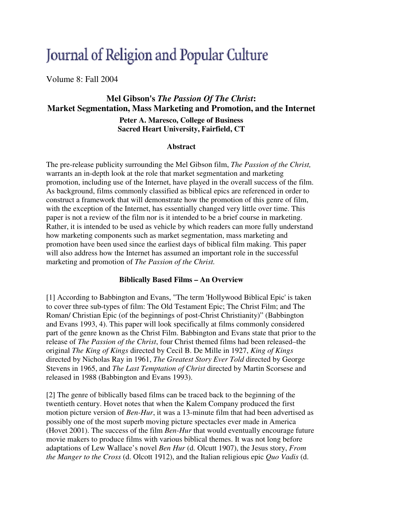# Journal of Religion and Popular Culture

Volume 8: Fall 2004

### **Mel Gibson's** *The Passion Of The Christ***: Market Segmentation, Mass Marketing and Promotion, and the Internet**

**Peter A. Maresco, College of Business Sacred Heart University, Fairfield, CT**

#### **Abstract**

The pre-release publicity surrounding the Mel Gibson film, *The Passion of the Christ,*  warrants an in-depth look at the role that market segmentation and marketing promotion, including use of the Internet, have played in the overall success of the film. As background, films commonly classified as biblical epics are referenced in order to construct a framework that will demonstrate how the promotion of this genre of film, with the exception of the Internet, has essentially changed very little over time. This paper is not a review of the film nor is it intended to be a brief course in marketing. Rather, it is intended to be used as vehicle by which readers can more fully understand how marketing components such as market segmentation, mass marketing and promotion have been used since the earliest days of biblical film making. This paper will also address how the Internet has assumed an important role in the successful marketing and promotion of *The Passion of the Christ.* 

#### **Biblically Based Films – An Overview**

[1] According to Babbington and Evans, "The term 'Hollywood Biblical Epic' is taken to cover three sub-types of film: The Old Testament Epic; The Christ Film; and The Roman/ Christian Epic (of the beginnings of post-Christ Christianity)" (Babbington and Evans 1993, 4). This paper will look specifically at films commonly considered part of the genre known as the Christ Film. Babbington and Evans state that prior to the release of *The Passion of the Christ*, four Christ themed films had been released–the original *The King of Kings* directed by Cecil B. De Mille in 1927, *King of Kings* directed by Nicholas Ray in 1961, *The Greatest Story Ever Told* directed by George Stevens in 1965, and *The Last Temptation of Christ* directed by Martin Scorsese and released in 1988 (Babbington and Evans 1993).

[2] The genre of biblically based films can be traced back to the beginning of the twentieth century. Hovet notes that when the Kalem Company produced the first motion picture version of *Ben-Hur*, it was a 13-minute film that had been advertised as possibly one of the most superb moving picture spectacles ever made in America (Hovet 2001). The success of the film *Ben-Hur* that would eventually encourage future movie makers to produce films with various biblical themes. It was not long before adaptations of Lew Wallace's novel *Ben Hur* (d. Olcutt 1907), the Jesus story, *From the Manger to the Cross* (d. Olcott 1912), and the Italian religious epic *Quo Vadis* (d.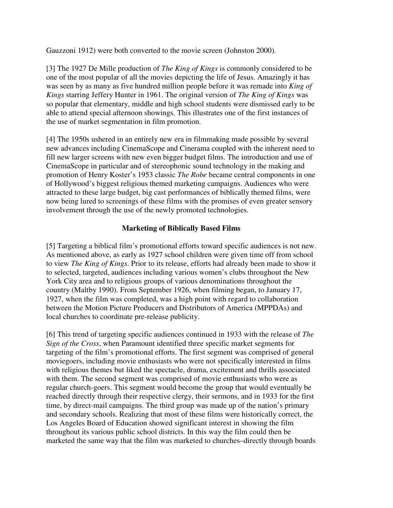Gauzzoni 1912) were both converted to the movie screen (Johnston 2000).

[3] The 1927 De Mille production of *The King of Kings* is commonly considered to be one of the most popular of all the movies depicting the life of Jesus. Amazingly it has was seen by as many as five hundred million people before it was remade into *King of Kings* starring Jeffery Hunter in 1961. The original version of *The King of Kings* was so popular that elementary, middle and high school students were dismissed early to be able to attend special afternoon showings. This illustrates one of the first instances of the use of market segmentation in film promotion.

[4] The 1950s ushered in an entirely new era in filmmaking made possible by several new advances including CinemaScope and Cinerama coupled with the inherent need to fill new larger screens with new even bigger budget films. The introduction and use of CinemaScope in particular and of stereophonic sound technology in the making and promotion of Henry Koster's 1953 classic *The Robe* became central components in one of Hollywood's biggest religious themed marketing campaigns. Audiences who were attracted to these large budget, big cast performances of biblically themed films, were now being lured to screenings of these films with the promises of even greater sensory involvement through the use of the newly promoted technologies.

#### **Marketing of Biblically Based Films**

[5] Targeting a biblical film's promotional efforts toward specific audiences is not new. As mentioned above, as early as 1927 school children were given time off from school to view *The King of Kings*. Prior to its release, efforts had already been made to show it to selected, targeted, audiences including various women's clubs throughout the New York City area and to religious groups of various denominations throughout the country (Maltby 1990). From September 1926, when filming began, to January 17, 1927, when the film was completed, was a high point with regard to collaboration between the Motion Picture Producers and Distributors of America (MPPDAs) and local churches to coordinate pre-release publicity.

[6] This trend of targeting specific audiences continued in 1933 with the release of *The Sign of the Cross*, when Paramount identified three specific market segments for targeting of the film's promotional efforts. The first segment was comprised of general moviegoers, including movie enthusiasts who were not specifically interested in films with religious themes but liked the spectacle, drama, excitement and thrills associated with them. The second segment was comprised of movie enthusiasts who were as regular church-goers. This segment would become the group that would eventually be reached directly through their respective clergy, their sermons, and in 1933 for the first time, by direct-mail campaigns. The third group was made up of the nation's primary and secondary schools. Realizing that most of these films were historically correct, the Los Angeles Board of Education showed significant interest in showing the film throughout its various public school districts. In this way the film could then be marketed the same way that the film was marketed to churches–directly through boards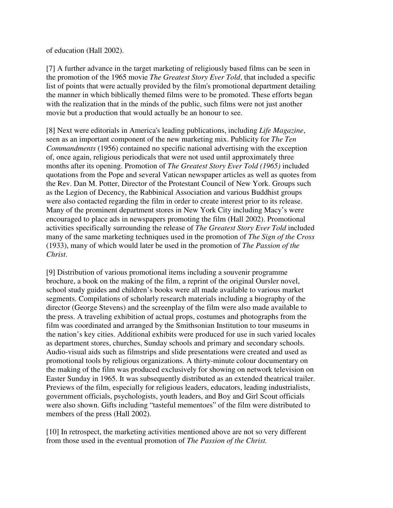of education (Hall 2002).

[7] A further advance in the target marketing of religiously based films can be seen in the promotion of the 1965 movie *The Greatest Story Ever Told*, that included a specific list of points that were actually provided by the film's promotional department detailing the manner in which biblically themed films were to be promoted. These efforts began with the realization that in the minds of the public, such films were not just another movie but a production that would actually be an honour to see.

[8] Next were editorials in America's leading publications, including *Life Magazine*, seen as an important component of the new marketing mix. Publicity for *The Ten Commandments* (1956) contained no specific national advertising with the exception of, once again, religious periodicals that were not used until approximately three months after its opening. Promotion of *The Greatest Story Ever Told (1965)* included quotations from the Pope and several Vatican newspaper articles as well as quotes from the Rev. Dan M. Potter, Director of the Protestant Council of New York. Groups such as the Legion of Decency, the Rabbinical Association and various Buddhist groups were also contacted regarding the film in order to create interest prior to its release. Many of the prominent department stores in New York City including Macy's were encouraged to place ads in newspapers promoting the film (Hall 2002). Promotional activities specifically surrounding the release of *The Greatest Story Ever Told* included many of the same marketing techniques used in the promotion of *The Sign of the Cross*  (1933), many of which would later be used in the promotion of *The Passion of the Christ*.

[9] Distribution of various promotional items including a souvenir programme brochure, a book on the making of the film, a reprint of the original Oursler novel, school study guides and children's books were all made available to various market segments. Compilations of scholarly research materials including a biography of the director (George Stevens) and the screenplay of the film were also made available to the press. A traveling exhibition of actual props, costumes and photographs from the film was coordinated and arranged by the Smithsonian Institution to tour museums in the nation's key cities. Additional exhibits were produced for use in such varied locales as department stores, churches, Sunday schools and primary and secondary schools. Audio-visual aids such as filmstrips and slide presentations were created and used as promotional tools by religious organizations. A thirty-minute colour documentary on the making of the film was produced exclusively for showing on network television on Easter Sunday in 1965. It was subsequently distributed as an extended theatrical trailer. Previews of the film, especially for religious leaders, educators, leading industrialists, government officials, psychologists, youth leaders, and Boy and Girl Scout officials were also shown. Gifts including "tasteful mementoes" of the film were distributed to members of the press (Hall 2002).

[10] In retrospect, the marketing activities mentioned above are not so very different from those used in the eventual promotion of *The Passion of the Christ.*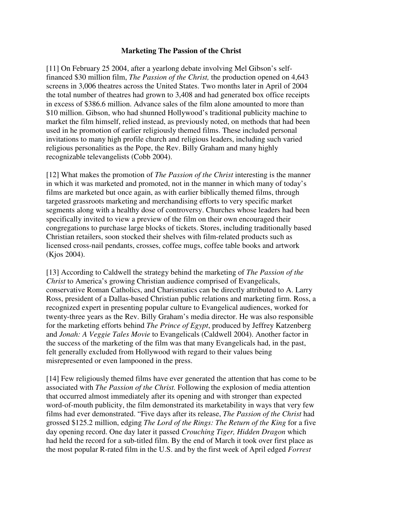#### **Marketing The Passion of the Christ**

[11] On February 25 2004, after a yearlong debate involving Mel Gibson's selffinanced \$30 million film, *The Passion of the Christ,* the production opened on 4,643 screens in 3,006 theatres across the United States. Two months later in April of 2004 the total number of theatres had grown to 3,408 and had generated box office receipts in excess of \$386.6 million. Advance sales of the film alone amounted to more than \$10 million. Gibson, who had shunned Hollywood's traditional publicity machine to market the film himself, relied instead, as previously noted, on methods that had been used in he promotion of earlier religiously themed films. These included personal invitations to many high profile church and religious leaders, including such varied religious personalities as the Pope, the Rev. Billy Graham and many highly recognizable televangelists (Cobb 2004).

[12] What makes the promotion of *The Passion of the Christ* interesting is the manner in which it was marketed and promoted, not in the manner in which many of today's films are marketed but once again, as with earlier biblically themed films, through targeted grassroots marketing and merchandising efforts to very specific market segments along with a healthy dose of controversy. Churches whose leaders had been specifically invited to view a preview of the film on their own encouraged their congregations to purchase large blocks of tickets. Stores, including traditionally based Christian retailers, soon stocked their shelves with film-related products such as licensed cross-nail pendants, crosses, coffee mugs, coffee table books and artwork (Kjos 2004).

[13] According to Caldwell the strategy behind the marketing of *The Passion of the Christ* to America's growing Christian audience comprised of Evangelicals, conservative Roman Catholics, and Charismatics can be directly attributed to A. Larry Ross, president of a Dallas-based Christian public relations and marketing firm. Ross, a recognized expert in presenting popular culture to Evangelical audiences, worked for twenty-three years as the Rev. Billy Graham's media director. He was also responsible for the marketing efforts behind *The Prince of Egypt*, produced by Jeffrey Katzenberg and *Jonah: A Veggie Tales Movie* to Evangelicals (Caldwell 2004). Another factor in the success of the marketing of the film was that many Evangelicals had, in the past, felt generally excluded from Hollywood with regard to their values being misrepresented or even lampooned in the press.

[14] Few religiously themed films have ever generated the attention that has come to be associated with *The Passion of the Christ.* Following the explosion of media attention that occurred almost immediately after its opening and with stronger than expected word-of-mouth publicity, the film demonstrated its marketability in ways that very few films had ever demonstrated. "Five days after its release, *The Passion of the Christ* had grossed \$125.2 million, edging *The Lord of the Rings: The Return of the King* for a five day opening record. One day later it passed *Crouching Tiger, Hidden Dragon* which had held the record for a sub-titled film. By the end of March it took over first place as the most popular R-rated film in the U.S. and by the first week of April edged *Forrest*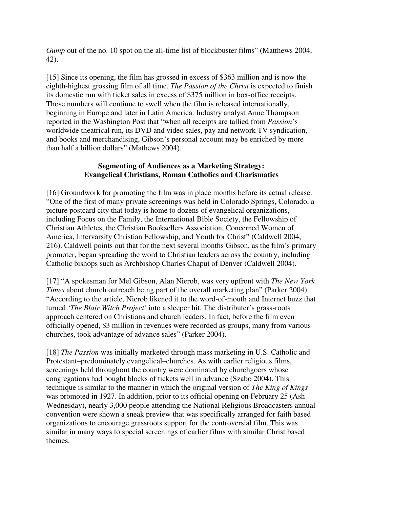*Gump* out of the no. 10 spot on the all-time list of blockbuster films" (Matthews 2004, 42).

[15] Since its opening, the film has grossed in excess of \$363 million and is now the eighth-highest grossing film of all time. *The Passion of the Christ* is expected to finish its domestic run with ticket sales in excess of \$375 million in box-office receipts. Those numbers will continue to swell when the film is released internationally, beginning in Europe and later in Latin America. Industry analyst Anne Thompson reported in the Washington Post that "when all receipts are tallied from *Passion*'s worldwide theatrical run, its DVD and video sales, pay and network TV syndication, and books and merchandising, Gibson's personal account may be enriched by more than half a billion dollars" (Mathews 2004).

#### **Segmenting of Audiences as a Marketing Strategy: Evangelical Christians, Roman Catholics and Charismatics**

[16] Groundwork for promoting the film was in place months before its actual release. "One of the first of many private screenings was held in Colorado Springs, Colorado, a picture postcard city that today is home to dozens of evangelical organizations, including Focus on the Family, the International Bible Society, the Fellowship of Christian Athletes, the Christian Booksellers Association, Concerned Women of America, Intervarsity Christian Fellowship, and Youth for Christ" (Caldwell 2004, 216). Caldwell points out that for the next several months Gibson, as the film's primary promoter, began spreading the word to Christian leaders across the country, including Catholic bishops such as Archbishop Charles Chaput of Denver (Caldwell 2004).

[17] "A spokesman for Mel Gibson, Alan Nierob, was very upfront with *The New York Times* about church outreach being part of the overall marketing plan" (Parker 2004). "According to the article, Nierob likened it to the word-of-mouth and Internet buzz that turned '*The Blair Witch Project'* into a sleeper hit. The distributer's grass-roots approach centered on Christians and church leaders. In fact, before the film even officially opened, \$3 million in revenues were recorded as groups, many from various churches, took advantage of advance sales" (Parker 2004).

[18] *The Passion* was initially marketed through mass marketing in U.S. Catholic and Protestant–predominately evangelical–churches. As with earlier religious films, screenings held throughout the country were dominated by churchgoers whose congregations had bought blocks of tickets well in advance (Szabo 2004). This technique is similar to the manner in which the original version of *The King of Kings* was promoted in 1927. In addition, prior to its official opening on February 25 (Ash Wednesday), nearly 3,000 people attending the National Religious Broadcasters annual convention were shown a sneak preview that was specifically arranged for faith based organizations to encourage grassroots support for the controversial film. This was similar in many ways to special screenings of earlier films with similar Christ based themes.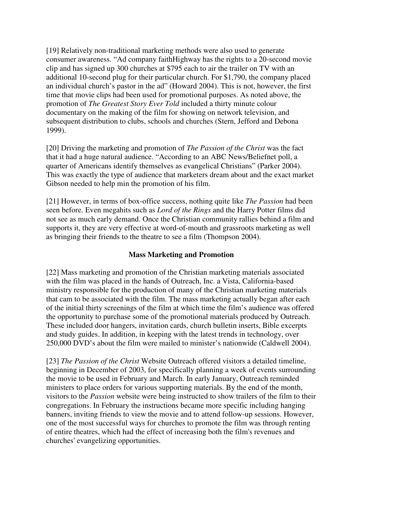[19] Relatively non-traditional marketing methods were also used to generate consumer awareness. "Ad company faithHighway has the rights to a 20-second movie clip and has signed up 300 churches at \$795 each to air the trailer on TV with an additional 10-second plug for their particular church. For \$1,790, the company placed an individual church's pastor in the ad" (Howard 2004). This is not, however, the first time that movie clips had been used for promotional purposes. As noted above, the promotion of *The Greatest Story Ever Told* included a thirty minute colour documentary on the making of the film for showing on network television, and subsequent distribution to clubs, schools and churches (Stern, Jefford and Debona 1999).

[20] Driving the marketing and promotion of *The Passion of the Christ* was the fact that it had a huge natural audience. "According to an ABC News/Beliefnet poll, a quarter of Americans identify themselves as evangelical Christians" (Parker 2004). This was exactly the type of audience that marketers dream about and the exact market Gibson needed to help min the promotion of his film.

[21] However, in terms of box-office success, nothing quite like *The Passion* had been seen before. Even megahits such as *Lord of the Rings* and the Harry Potter films did not see as much early demand. Once the Christian community rallies behind a film and supports it, they are very effective at word-of-mouth and grassroots marketing as well as bringing their friends to the theatre to see a film (Thompson 2004).

#### **Mass Marketing and Promotion**

[22] Mass marketing and promotion of the Christian marketing materials associated with the film was placed in the hands of Outreach, Inc. a Vista, California-based ministry responsible for the production of many of the Christian marketing materials that cam to be associated with the film. The mass marketing actually began after each of the initial thirty screenings of the film at which time the film's audience was offered the opportunity to purchase some of the promotional materials produced by Outreach. These included door hangers, invitation cards, church bulletin inserts, Bible excerpts and study guides. In addition, in keeping with the latest trends in technology, over 250,000 DVD's about the film were mailed to minister's nationwide (Caldwell 2004).

[23] *The Passion of the Christ* Website Outreach offered visitors a detailed timeline, beginning in December of 2003, for specifically planning a week of events surrounding the movie to be used in February and March. In early January, Outreach reminded ministers to place orders for various supporting materials. By the end of the month, visitors to the *Passion* website were being instructed to show trailers of the film to their congregations. In February the instructions became more specific including hanging banners, inviting friends to view the movie and to attend follow-up sessions. However, one of the most successful ways for churches to promote the film was through renting of entire theatres, which had the effect of increasing both the film's revenues and churches' evangelizing opportunities.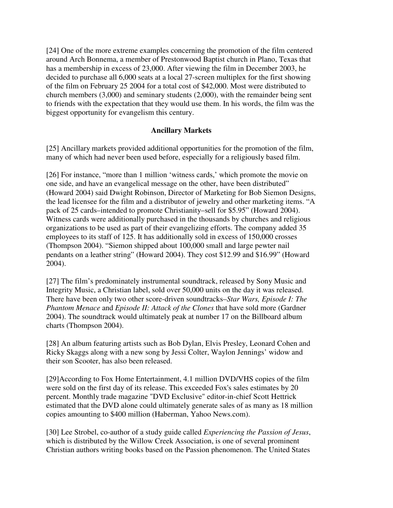[24] One of the more extreme examples concerning the promotion of the film centered around Arch Bonnema, a member of Prestonwood Baptist church in Plano, Texas that has a membership in excess of 23,000. After viewing the film in December 2003, he decided to purchase all 6,000 seats at a local 27-screen multiplex for the first showing of the film on February 25 2004 for a total cost of \$42,000. Most were distributed to church members (3,000) and seminary students (2,000), with the remainder being sent to friends with the expectation that they would use them. In his words, the film was the biggest opportunity for evangelism this century.

#### **Ancillary Markets**

[25] Ancillary markets provided additional opportunities for the promotion of the film, many of which had never been used before, especially for a religiously based film.

[26] For instance, "more than 1 million 'witness cards,' which promote the movie on one side, and have an evangelical message on the other, have been distributed" (Howard 2004) said Dwight Robinson, Director of Marketing for Bob Siemon Designs, the lead licensee for the film and a distributor of jewelry and other marketing items. "A pack of 25 cards–intended to promote Christianity–sell for \$5.95" (Howard 2004). Witness cards were additionally purchased in the thousands by churches and religious organizations to be used as part of their evangelizing efforts. The company added 35 employees to its staff of 125. It has additionally sold in excess of 150,000 crosses (Thompson 2004). "Siemon shipped about 100,000 small and large pewter nail pendants on a leather string" (Howard 2004). They cost \$12.99 and \$16.99" (Howard 2004).

[27] The film's predominately instrumental soundtrack, released by Sony Music and Integrity Music, a Christian label, sold over 50,000 units on the day it was released. There have been only two other score-driven soundtracks–*Star Wars, Episode I: The Phantom Menace* and *Episode II: Attack of the Clones* that have sold more (Gardner 2004). The soundtrack would ultimately peak at number 17 on the Billboard album charts (Thompson 2004).

[28] An album featuring artists such as Bob Dylan, Elvis Presley, Leonard Cohen and Ricky Skaggs along with a new song by Jessi Colter, Waylon Jennings' widow and their son Scooter, has also been released.

[29]According to Fox Home Entertainment, 4.1 million DVD/VHS copies of the film were sold on the first day of its release. This exceeded Fox's sales estimates by 20 percent. Monthly trade magazine "DVD Exclusive" editor-in-chief Scott Hettrick estimated that the DVD alone could ultimately generate sales of as many as 18 million copies amounting to \$400 million (Haberman, Yahoo News.com).

[30] Lee Strobel, co-author of a study guide called *Experiencing the Passion of Jesus*, which is distributed by the Willow Creek Association, is one of several prominent Christian authors writing books based on the Passion phenomenon. The United States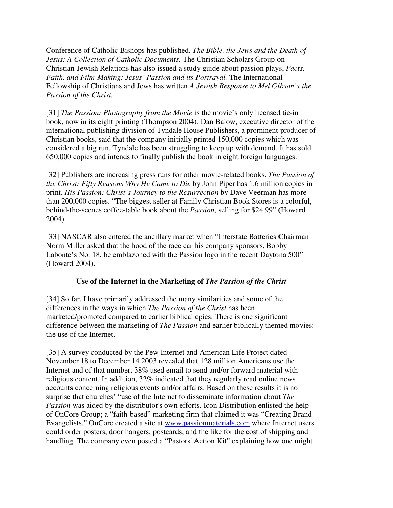Conference of Catholic Bishops has published, *The Bible, the Jews and the Death of Jesus: A Collection of Catholic Documents.* The Christian Scholars Group on Christian-Jewish Relations has also issued a study guide about passion plays, *Facts, Faith, and Film-Making: Jesus' Passion and its Portrayal.* The International Fellowship of Christians and Jews has written *A Jewish Response to Mel Gibson's the Passion of the Christ.* 

[31] *The Passion: Photography from the Movie* is the movie's only licensed tie-in book, now in its eight printing (Thompson 2004). Dan Balow, executive director of the international publishing division of Tyndale House Publishers, a prominent producer of Christian books, said that the company initially printed 150,000 copies which was considered a big run. Tyndale has been struggling to keep up with demand. It has sold 650,000 copies and intends to finally publish the book in eight foreign languages.

[32] Publishers are increasing press runs for other movie-related books. *The Passion of the Christ: Fifty Reasons Why He Came to Die* by John Piper has 1.6 million copies in print. *His Passion: Christ's Journey to the Resurrection* by Dave Veerman has more than 200,000 copies. "The biggest seller at Family Christian Book Stores is a colorful, behind-the-scenes coffee-table book about the *Passion*, selling for \$24.99" (Howard 2004).

[33] NASCAR also entered the ancillary market when "Interstate Batteries Chairman Norm Miller asked that the hood of the race car his company sponsors, Bobby Labonte's No. 18, be emblazoned with the Passion logo in the recent Daytona 500" (Howard 2004).

#### **Use of the Internet in the Marketing of** *The Passion of the Christ*

[34] So far, I have primarily addressed the many similarities and some of the differences in the ways in which *The Passion of the Christ* has been marketed/promoted compared to earlier biblical epics. There is one significant difference between the marketing of *The Passion* and earlier biblically themed movies: the use of the Internet.

[35] A survey conducted by the Pew Internet and American Life Project dated November 18 to December 14 2003 revealed that 128 million Americans use the Internet and of that number, 38% used email to send and/or forward material with religious content. In addition, 32% indicated that they regularly read online news accounts concerning religious events and/or affairs. Based on these results it is no surprise that churches' "use of the Internet to disseminate information about *The Passion* was aided by the distributor's own efforts. Icon Distribution enlisted the help of OnCore Group; a "faith-based" marketing firm that claimed it was "Creating Brand Evangelists." OnCore created a site at www.passionmaterials.com where Internet users could order posters, door hangers, postcards, and the like for the cost of shipping and handling. The company even posted a "Pastors' Action Kit" explaining how one might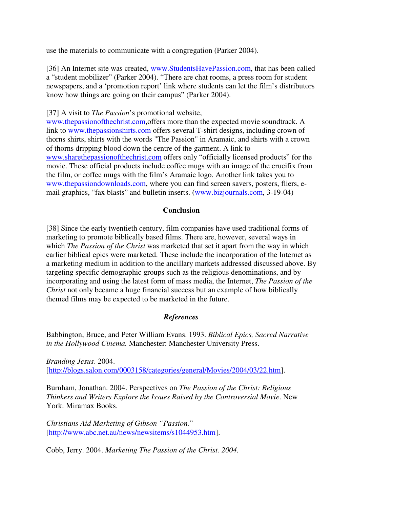use the materials to communicate with a congregation (Parker 2004).

[36] An Internet site was created, www.StudentsHavePassion.com, that has been called a "student mobilizer" (Parker 2004). "There are chat rooms, a press room for student newspapers, and a 'promotion report' link where students can let the film's distributors know how things are going on their campus" (Parker 2004).

[37] A visit to *The Passion*'s promotional website,

www.thepassionofthechrist.com,offers more than the expected movie soundtrack. A link to www.thepassionshirts.com offers several T-shirt designs, including crown of thorns shirts, shirts with the words "The Passion" in Aramaic, and shirts with a crown of thorns dripping blood down the centre of the garment. A link to www.sharethepassionofthechrist.com offers only "officially licensed products" for the movie. These official products include coffee mugs with an image of the crucifix from the film, or coffee mugs with the film's Aramaic logo. Another link takes you to www.thepassiondownloads.com, where you can find screen savers, posters, fliers, email graphics, "fax blasts" and bulletin inserts. (www.bizjournals.com, 3-19-04)

#### **Conclusion**

[38] Since the early twentieth century, film companies have used traditional forms of marketing to promote biblically based films. There are, however, several ways in which *The Passion of the Christ* was marketed that set it apart from the way in which earlier biblical epics were marketed. These include the incorporation of the Internet as a marketing medium in addition to the ancillary markets addressed discussed above. By targeting specific demographic groups such as the religious denominations, and by incorporating and using the latest form of mass media, the Internet, *The Passion of the Christ* not only became a huge financial success but an example of how biblically themed films may be expected to be marketed in the future.

#### *References*

Babbington, Bruce, and Peter William Evans. 1993. *Biblical Epics, Sacred Narrative in the Hollywood Cinema.* Manchester: Manchester University Press.

*Branding Jesus*. 2004. [http://blogs.salon.com/0003158/categories/general/Movies/2004/03/22.htm].

Burnham, Jonathan. 2004. Perspectives on *The Passion of the Christ: Religious Thinkers and Writers Explore the Issues Raised by the Controversial Movie*. New York: Miramax Books.

*Christians Aid Marketing of Gibson "Passion.*" [http://www.abc.net.au/news/newsitems/s1044953.htm].

Cobb, Jerry. 2004. *Marketing The Passion of the Christ. 2004.*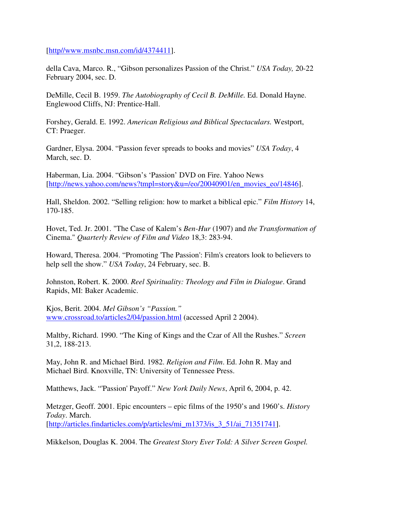[http//www.msnbc.msn.com/id/4374411].

della Cava, Marco. R., "Gibson personalizes Passion of the Christ." *USA Today,* 20-22 February 2004, sec. D.

DeMille, Cecil B. 1959. *The Autobiography of Cecil B. DeMille.* Ed. Donald Hayne. Englewood Cliffs, NJ: Prentice-Hall.

Forshey, Gerald. E. 1992. *American Religious and Biblical Spectaculars.* Westport, CT: Praeger.

Gardner, Elysa. 2004. "Passion fever spreads to books and movies" *USA Today*, 4 March, sec. D.

Haberman, Lia. 2004. "Gibson's 'Passion' DVD on Fire. Yahoo News [http://news.yahoo.com/news?tmpl=story&u=/eo/20040901/en\_movies\_eo/14846].

Hall, Sheldon. 2002. "Selling religion: how to market a biblical epic." *Film History* 14, 170-185.

Hovet, Ted. Jr. 2001. "The Case of Kalem's *Ben-Hur* (1907) and *the Transformation of*  Cinema." *Quarterly Review of Film and Video* 18,3: 283-94.

Howard, Theresa. 2004. "Promoting 'The Passion': Film's creators look to believers to help sell the show." *USA Today*, 24 February, sec. B.

Johnston, Robert. K. 2000. *Reel Spirituality: Theology and Film in Dialogue*. Grand Rapids, MI: Baker Academic.

Kjos, Berit. 2004. *Mel Gibson's "Passion."* www.crossroad.to/articles2/04/passion.html (accessed April 2 2004).

Maltby, Richard. 1990. "The King of Kings and the Czar of All the Rushes." *Screen*  31,2, 188-213.

May, John R. and Michael Bird. 1982. *Religion and Film*. Ed. John R. May and Michael Bird. Knoxville, TN: University of Tennessee Press.

Matthews, Jack. "'Passion' Payoff." *New York Daily News*, April 6, 2004, p. 42.

Metzger, Geoff. 2001. Epic encounters – epic films of the 1950's and 1960's. *History Today*. March. [http://articles.findarticles.com/p/articles/mi\_m1373/is\_3\_51/ai\_71351741].

Mikkelson, Douglas K. 2004. The *Greatest Story Ever Told: A Silver Screen Gospel.*